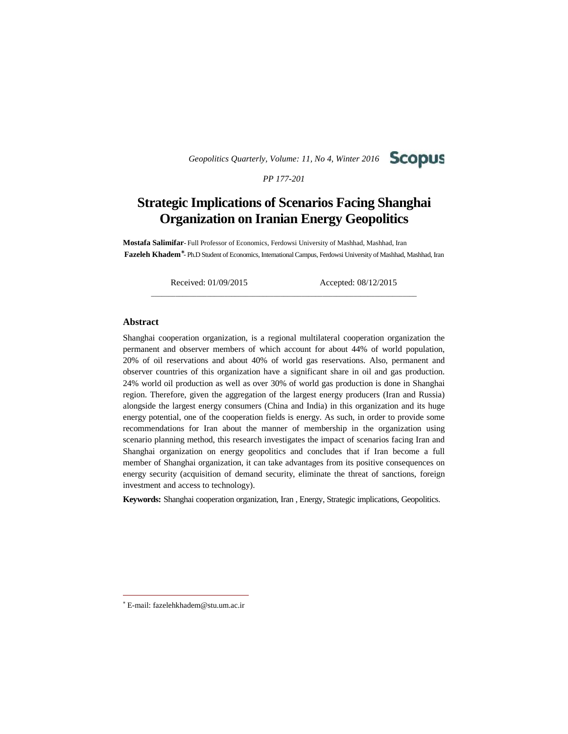*Geopolitics Quarterly, Volume: 11, No 4, Winter 2016*



*PP 177-201*

# **Strategic Implications of Scenarios Facing Shanghai Organization on Iranian Energy Geopolitics**

**Mostafa Salimifar**- Full Professor of Economics, Ferdowsi University of Mashhad, Mashhad, Iran **Fazeleh Khadem** - Ph.D Student of Economics, International Campus, Ferdowsi University of Mashhad, Mashhad, Iran

\_\_\_\_\_\_\_\_\_\_\_\_\_\_\_\_\_\_\_\_\_\_\_\_\_\_\_\_\_\_\_\_\_\_\_\_\_\_\_\_\_\_\_\_\_\_\_\_\_\_\_\_\_\_\_\_\_\_\_\_\_\_\_\_\_\_\_\_\_\_\_\_\_\_\_\_

Received: 01/09/2015 Accepted: 08/12/2015

### **Abstract**

Shanghai cooperation organization, is a regional multilateral cooperation organization the permanent and observer members of which account for about 44% of world population, 20% of oil reservations and about 40% of world gas reservations. Also, permanent and observer countries of this organization have a significant share in oil and gas production. 24% world oil production as well as over 30% of world gas production is done in Shanghai region. Therefore, given the aggregation of the largest energy producers (Iran and Russia) alongside the largest energy consumers (China and India) in this organization and its huge energy potential, one of the cooperation fields is energy. As such, in order to provide some recommendations for Iran about the manner of membership in the organization using scenario planning method, this research investigates the impact of scenarios facing Iran and Shanghai organization on energy geopolitics and concludes that if Iran become a full member of Shanghai organization, it can take advantages from its positive consequences on energy security (acquisition of demand security, eliminate the threat of sanctions, foreign investment and access to technology).

**Keywords:** Shanghai cooperation organization, Iran , Energy, Strategic implications, Geopolitics.

E-mail: fazelehkhadem@stu.um.ac.ir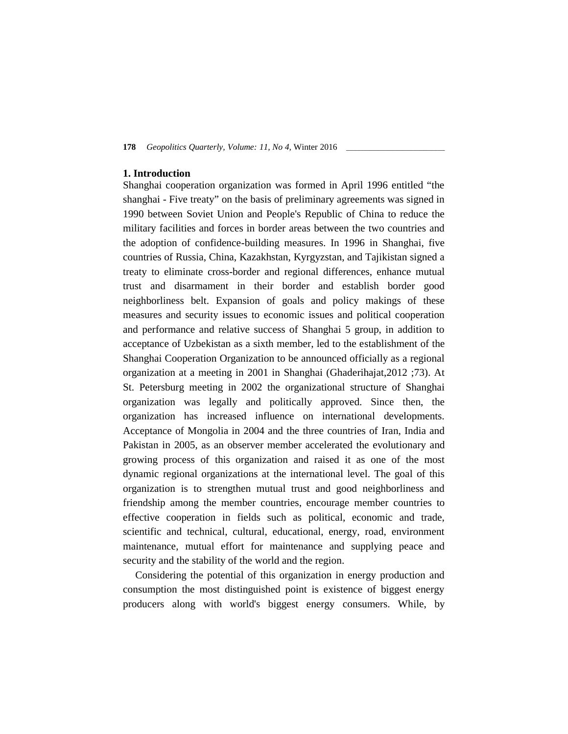## **1. Introduction**

Shanghai cooperation organization was formed in April 1996 entitled "the shanghai - Five treaty" on the basis of preliminary agreements was signed in 1990 between Soviet Union and People's Republic of China to reduce the military facilities and forces in border areas between the two countries and the adoption of confidence-building measures. In 1996 in Shanghai, five countries of Russia, China, Kazakhstan, Kyrgyzstan, and Tajikistan signed a treaty to eliminate cross-border and regional differences, enhance mutual trust and disarmament in their border and establish border good neighborliness belt. Expansion of goals and policy makings of these measures and security issues to economic issues and political cooperation and performance and relative success of Shanghai 5 group, in addition to acceptance of Uzbekistan as a sixth member, led to the establishment of the Shanghai Cooperation Organization to be announced officially as a regional organization at a meeting in 2001 in Shanghai (Ghaderihajat,2012 ;73). At St. Petersburg meeting in 2002 the organizational structure of Shanghai organization was legally and politically approved. Since then, the organization has increased influence on international developments. Acceptance of Mongolia in 2004 and the three countries of Iran, India and Pakistan in 2005, as an observer member accelerated the evolutionary and growing process of this organization and raised it as one of the most dynamic regional organizations at the international level. The goal of this organization is to strengthen mutual trust and good neighborliness and friendship among the member countries, encourage member countries to effective cooperation in fields such as political, economic and trade, scientific and technical, cultural, educational, energy, road, environment maintenance, mutual effort for maintenance and supplying peace and security and the stability of the world and the region.

Considering the potential of this organization in energy production and consumption the most distinguished point is existence of biggest energy producers along with world's biggest energy consumers. While, by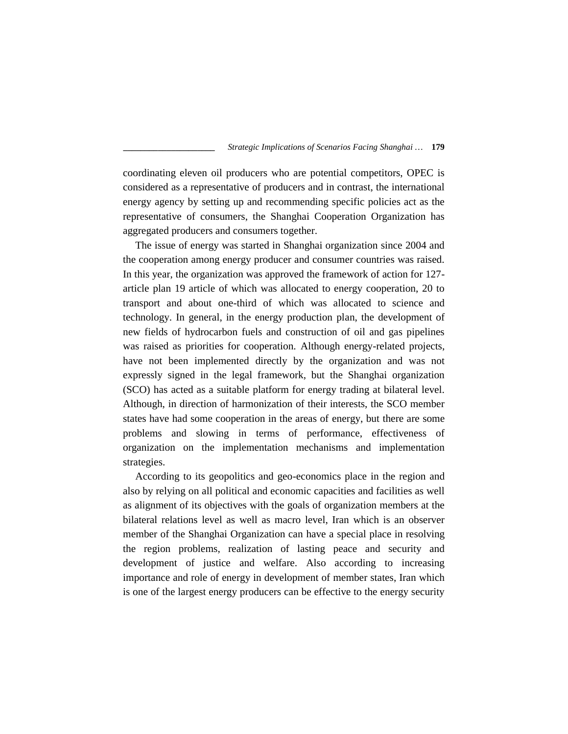coordinating eleven oil producers who are potential competitors, OPEC is considered as a representative of producers and in contrast, the international energy agency by setting up and recommending specific policies act as the representative of consumers, the Shanghai Cooperation Organization has aggregated producers and consumers together.

The issue of energy was started in Shanghai organization since 2004 and the cooperation among energy producer and consumer countries was raised. In this year, the organization was approved the framework of action for 127 article plan 19 article of which was allocated to energy cooperation, 20 to transport and about one-third of which was allocated to science and technology. In general, in the energy production plan, the development of new fields of hydrocarbon fuels and construction of oil and gas pipelines was raised as priorities for cooperation. Although energy-related projects, have not been implemented directly by the organization and was not expressly signed in the legal framework, but the Shanghai organization (SCO) has acted as a suitable platform for energy trading at bilateral level. Although, in direction of harmonization of their interests, the SCO member states have had some cooperation in the areas of energy, but there are some problems and slowing in terms of performance, effectiveness of organization on the implementation mechanisms and implementation strategies.

According to its geopolitics and geo-economics place in the region and also by relying on all political and economic capacities and facilities as well as alignment of its objectives with the goals of organization members at the bilateral relations level as well as macro level, Iran which is an observer member of the Shanghai Organization can have a special place in resolving the region problems, realization of lasting peace and security and development of justice and welfare. Also according to increasing importance and role of energy in development of member states, Iran which is one of the largest energy producers can be effective to the energy security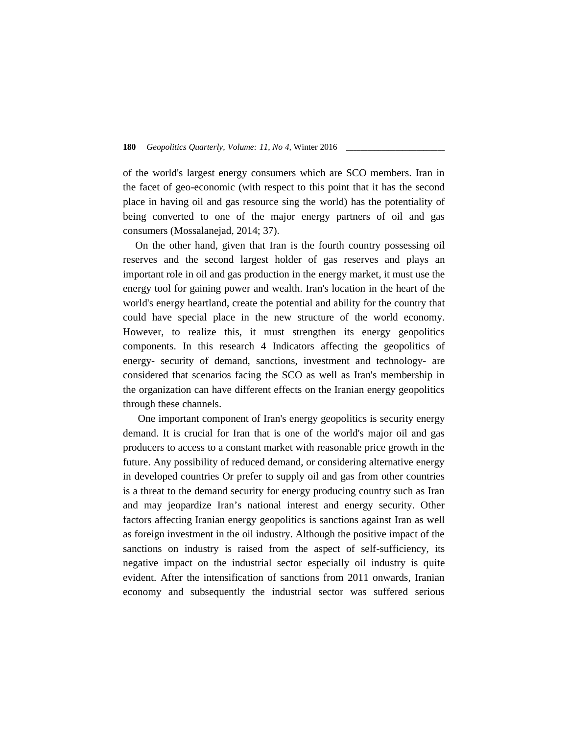of the world's largest energy consumers which are SCO members. Iran in the facet of geo-economic (with respect to this point that it has the second place in having oil and gas resource sing the world) has the potentiality of being converted to one of the major energy partners of oil and gas consumers (Mossalanejad, 2014; 37).

On the other hand, given that Iran is the fourth country possessing oil reserves and the second largest holder of gas reserves and plays an important role in oil and gas production in the energy market, it must use the energy tool for gaining power and wealth. Iran's location in the heart of the world's energy heartland, create the potential and ability for the country that could have special place in the new structure of the world economy. However, to realize this, it must strengthen its energy geopolitics components. In this research 4 Indicators affecting the geopolitics of energy- security of demand, sanctions, investment and technology- are considered that scenarios facing the SCO as well as Iran's membership in the organization can have different effects on the Iranian energy geopolitics through these channels.

One important component of Iran's energy geopolitics is security energy demand. It is crucial for Iran that is one of the world's major oil and gas producers to access to a constant market with reasonable price growth in the future. Any possibility of reduced demand, or considering alternative energy in developed countries Or prefer to supply oil and gas from other countries is a threat to the demand security for energy producing country such as Iran and may jeopardize Iran's national interest and energy security. Other factors affecting Iranian energy geopolitics is sanctions against Iran as well as foreign investment in the oil industry. Although the positive impact of the sanctions on industry is raised from the aspect of self-sufficiency, its negative impact on the industrial sector especially oil industry is quite evident. After the intensification of sanctions from 2011 onwards, Iranian economy and subsequently the industrial sector was suffered serious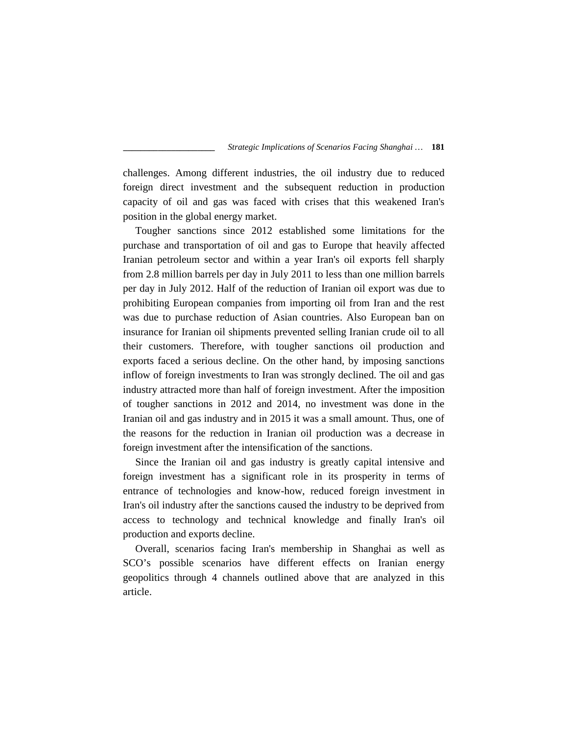challenges. Among different industries, the oil industry due to reduced foreign direct investment and the subsequent reduction in production capacity of oil and gas was faced with crises that this weakened Iran's position in the global energy market.

Tougher sanctions since 2012 established some limitations for the purchase and transportation of oil and gas to Europe that heavily affected Iranian petroleum sector and within a year Iran's oil exports fell sharply from 2.8 million barrels per day in July 2011 to less than one million barrels per day in July 2012. Half of the reduction of Iranian oil export was due to prohibiting European companies from importing oil from Iran and the rest was due to purchase reduction of Asian countries. Also European ban on insurance for Iranian oil shipments prevented selling Iranian crude oil to all their customers. Therefore, with tougher sanctions oil production and exports faced a serious decline. On the other hand, by imposing sanctions inflow of foreign investments to Iran was strongly declined. The oil and gas industry attracted more than half of foreign investment. After the imposition of tougher sanctions in 2012 and 2014, no investment was done in the Iranian oil and gas industry and in 2015 it was a small amount. Thus, one of the reasons for the reduction in Iranian oil production was a decrease in foreign investment after the intensification of the sanctions.

Since the Iranian oil and gas industry is greatly capital intensive and foreign investment has a significant role in its prosperity in terms of entrance of technologies and know-how, reduced foreign investment in Iran's oil industry after the sanctions caused the industry to be deprived from access to technology and technical knowledge and finally Iran's oil production and exports decline.

Overall, scenarios facing Iran's membership in Shanghai as well as SCO's possible scenarios have different effects on Iranian energy geopolitics through 4 channels outlined above that are analyzed in this article.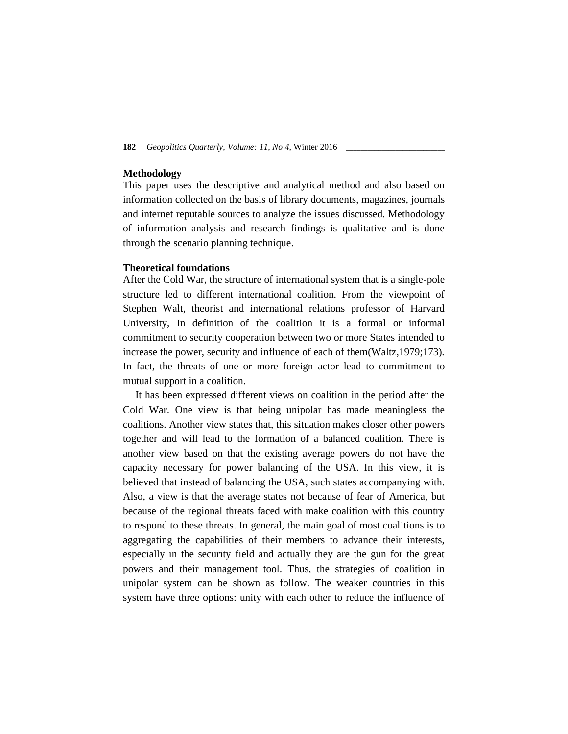## **Methodology**

This paper uses the descriptive and analytical method and also based on information collected on the basis of library documents, magazines, journals and internet reputable sources to analyze the issues discussed. Methodology of information analysis and research findings is qualitative and is done through the scenario planning technique.

### **Theoretical foundations**

After the Cold War, the structure of international system that is a single-pole structure led to different international coalition. From the viewpoint of Stephen Walt, theorist and international relations professor of Harvard University, In definition of the coalition it is a formal or informal commitment to security cooperation between two or more States intended to increase the power, security and influence of each of them(Waltz,1979;173). In fact, the threats of one or more foreign actor lead to commitment to mutual support in a coalition.

It has been expressed different views on coalition in the period after the Cold War. One view is that being unipolar has made meaningless the coalitions. Another view states that, this situation makes closer other powers together and will lead to the formation of a balanced coalition. There is another view based on that the existing average powers do not have the capacity necessary for power balancing of the USA. In this view, it is believed that instead of balancing the USA, such states accompanying with. Also, a view is that the average states not because of fear of America, but because of the regional threats faced with make coalition with this country to respond to these threats. In general, the main goal of most coalitions is to aggregating the capabilities of their members to advance their interests, especially in the security field and actually they are the gun for the great powers and their management tool. Thus, the strategies of coalition in unipolar system can be shown as follow. The weaker countries in this system have three options: unity with each other to reduce the influence of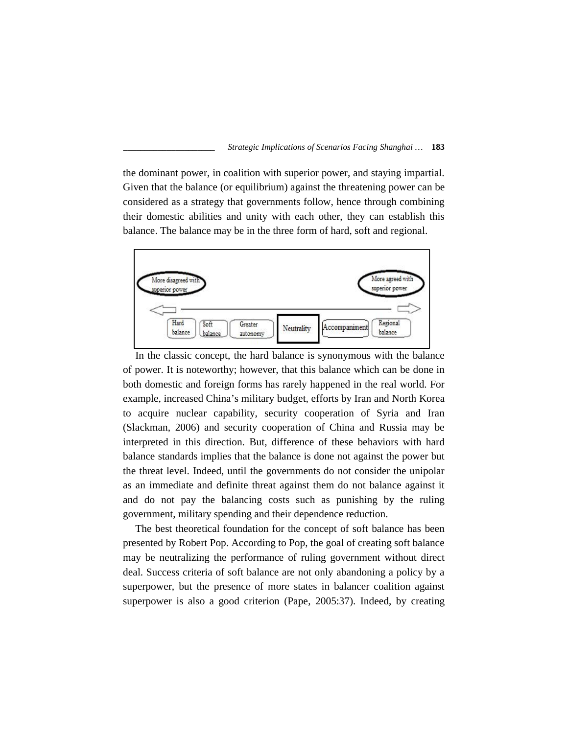the dominant power, in coalition with superior power, and staying impartial. Given that the balance (or equilibrium) against the threatening power can be considered as a strategy that governments follow, hence through combining their domestic abilities and unity with each other, they can establish this balance. The balance may be in the three form of hard, soft and regional.



In the classic concept, the hard balance is synonymous with the balance of power. It is noteworthy; however, that this balance which can be done in both domestic and foreign forms has rarely happened in the real world. For example, increased China's military budget, efforts by Iran and North Korea to acquire nuclear capability, security cooperation of Syria and Iran (Slackman, 2006) and security cooperation of China and Russia may be interpreted in this direction. But, difference of these behaviors with hard balance standards implies that the balance is done not against the power but the threat level. Indeed, until the governments do not consider the unipolar as an immediate and definite threat against them do not balance against it and do not pay the balancing costs such as punishing by the ruling government, military spending and their dependence reduction.

The best theoretical foundation for the concept of soft balance has been presented by Robert Pop. According to Pop, the goal of creating soft balance may be neutralizing the performance of ruling government without direct deal. Success criteria of soft balance are not only abandoning a policy by a superpower, but the presence of more states in balancer coalition against superpower is also a good criterion (Pape, 2005:37). Indeed, by creating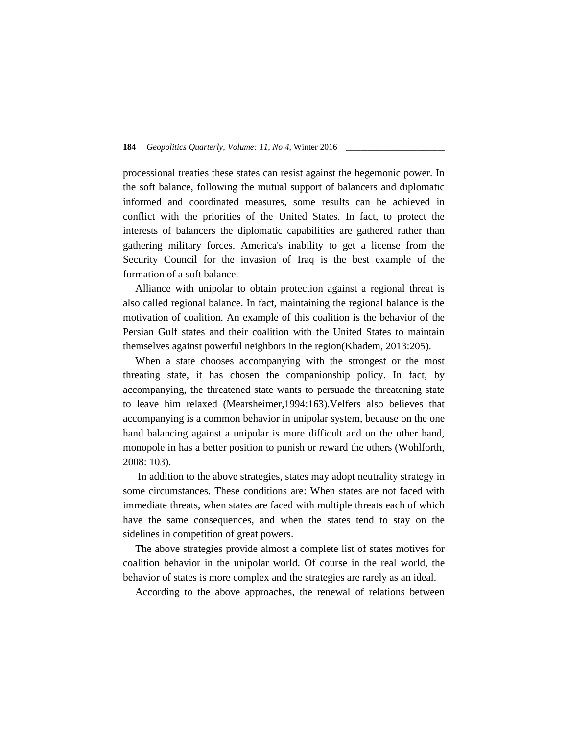processional treaties these states can resist against the hegemonic power. In the soft balance, following the mutual support of balancers and diplomatic informed and coordinated measures, some results can be achieved in conflict with the priorities of the United States. In fact, to protect the interests of balancers the diplomatic capabilities are gathered rather than gathering military forces. America's inability to get a license from the Security Council for the invasion of Iraq is the best example of the formation of a soft balance.

Alliance with unipolar to obtain protection against a regional threat is also called regional balance. In fact, maintaining the regional balance is the motivation of coalition. An example of this coalition is the behavior of the Persian Gulf states and their coalition with the United States to maintain themselves against powerful neighbors in the region(Khadem, 2013:205).

When a state chooses accompanying with the strongest or the most threating state, it has chosen the companionship policy. In fact, by accompanying, the threatened state wants to persuade the threatening state to leave him relaxed (Mearsheimer,1994:163).Velfers also believes that accompanying is a common behavior in unipolar system, because on the one hand balancing against a unipolar is more difficult and on the other hand, monopole in has a better position to punish or reward the others (Wohlforth, 2008: 103).

In addition to the above strategies, states may adopt neutrality strategy in some circumstances. These conditions are: When states are not faced with immediate threats, when states are faced with multiple threats each of which have the same consequences, and when the states tend to stay on the sidelines in competition of great powers.

The above strategies provide almost a complete list of states motives for coalition behavior in the unipolar world. Of course in the real world, the behavior of states is more complex and the strategies are rarely as an ideal.

According to the above approaches, the renewal of relations between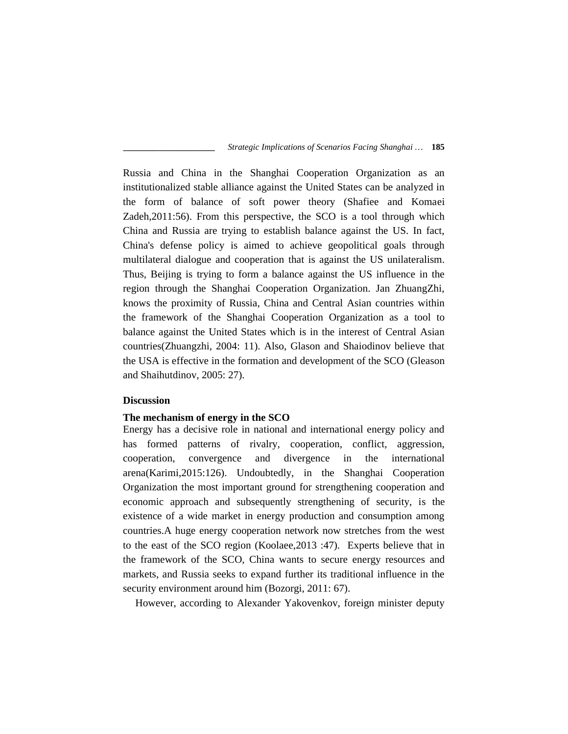Russia and China in the Shanghai Cooperation Organization as an institutionalized stable alliance against the United States can be analyzed in the form of balance of soft power theory (Shafiee and Komaei Zadeh,2011:56). From this perspective, the SCO is a tool through which China and Russia are trying to establish balance against the US. In fact, China's defense policy is aimed to achieve geopolitical goals through multilateral dialogue and cooperation that is against the US unilateralism. Thus, Beijing is trying to form a balance against the US influence in the region through the Shanghai Cooperation Organization. Jan ZhuangZhi, knows the proximity of Russia, China and Central Asian countries within the framework of the Shanghai Cooperation Organization as a tool to balance against the United States which is in the interest of Central Asian countries(Zhuangzhi, 2004: 11). Also, Glason and Shaiodinov believe that the USA is effective in the formation and development of the SCO (Gleason and Shaihutdinov, 2005: 27).

## **Discussion**

### **The mechanism of energy in the SCO**

Energy has a decisive role in national and international energy policy and has formed patterns of rivalry, cooperation, conflict, aggression, cooperation, convergence and divergence in the international arena(Karimi,2015:126). Undoubtedly, in the Shanghai Cooperation Organization the most important ground for strengthening cooperation and economic approach and subsequently strengthening of security, is the existence of a wide market in energy production and consumption among countries.A huge energy cooperation network now stretches from the west to the east of the SCO region (Koolaee,2013 :47). Experts believe that in the framework of the SCO, China wants to secure energy resources and markets, and Russia seeks to expand further its traditional influence in the security environment around him (Bozorgi, 2011: 67).

However, according to Alexander Yakovenkov, foreign minister deputy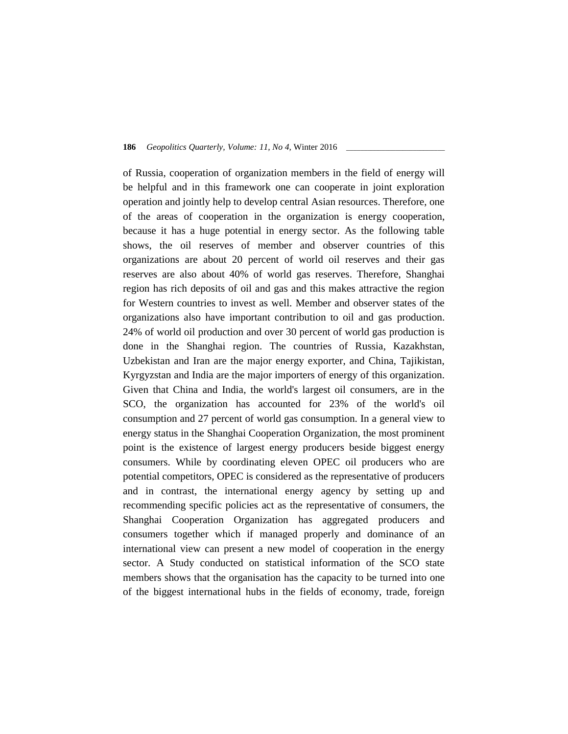of Russia, cooperation of organization members in the field of energy will be helpful and in this framework one can cooperate in joint exploration operation and jointly help to develop central Asian resources. Therefore, one of the areas of cooperation in the organization is energy cooperation, because it has a huge potential in energy sector. As the following table shows, the oil reserves of member and observer countries of this organizations are about 20 percent of world oil reserves and their gas reserves are also about 40% of world gas reserves. Therefore, Shanghai region has rich deposits of oil and gas and this makes attractive the region for Western countries to invest as well. Member and observer states of the organizations also have important contribution to oil and gas production. 24% of world oil production and over 30 percent of world gas production is done in the Shanghai region. The countries of Russia, Kazakhstan, Uzbekistan and Iran are the major energy exporter, and China, Tajikistan, Kyrgyzstan and India are the major importers of energy of this organization. Given that China and India, the world's largest oil consumers, are in the SCO, the organization has accounted for 23% of the world's oil consumption and 27 percent of world gas consumption. In a general view to energy status in the Shanghai Cooperation Organization, the most prominent point is the existence of largest energy producers beside biggest energy consumers. While by coordinating eleven OPEC oil producers who are potential competitors, OPEC is considered as the representative of producers and in contrast, the international energy agency by setting up and recommending specific policies act as the representative of consumers, the Shanghai Cooperation Organization has aggregated producers and consumers together which if managed properly and dominance of an international view can present a new model of cooperation in the energy sector. A Study conducted on statistical information of the SCO state members shows that the organisation has the capacity to be turned into one of the biggest international hubs in the fields of economy, trade, foreign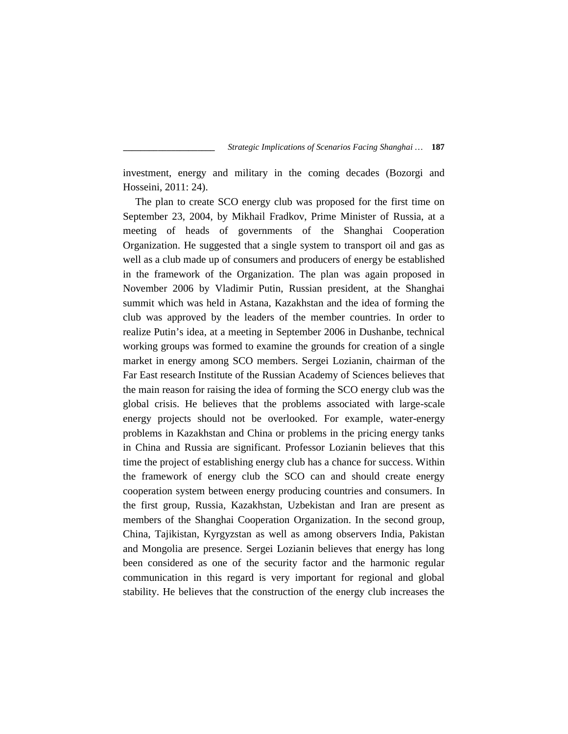investment, energy and military in the coming decades (Bozorgi and Hosseini, 2011: 24).

The plan to create SCO energy club was proposed for the first time on September 23, 2004, by Mikhail Fradkov, Prime Minister of Russia, at a meeting of heads of governments of the Shanghai Cooperation Organization. He suggested that a single system to transport oil and gas as well as a club made up of consumers and producers of energy be established in the framework of the Organization. The plan was again proposed in November 2006 by Vladimir Putin, Russian president, at the Shanghai summit which was held in Astana, Kazakhstan and the idea of forming the club was approved by the leaders of the member countries. In order to realize Putin's idea, at a meeting in September 2006 in Dushanbe, technical working groups was formed to examine the grounds for creation of a single market in energy among SCO members. Sergei Lozianin, chairman of the Far East research Institute of the Russian Academy of Sciences believes that the main reason for raising the idea of forming the SCO energy club was the global crisis. He believes that the problems associated with large-scale energy projects should not be overlooked. For example, water-energy problems in Kazakhstan and China or problems in the pricing energy tanks in China and Russia are significant. Professor Lozianin believes that this time the project of establishing energy club has a chance for success. Within the framework of energy club the SCO can and should create energy cooperation system between energy producing countries and consumers. In the first group, Russia, Kazakhstan, Uzbekistan and Iran are present as members of the Shanghai Cooperation Organization. In the second group, China, Tajikistan, Kyrgyzstan as well as among observers India, Pakistan and Mongolia are presence. Sergei Lozianin believes that energy has long been considered as one of the security factor and the harmonic regular communication in this regard is very important for regional and global stability. He believes that the construction of the energy club increases the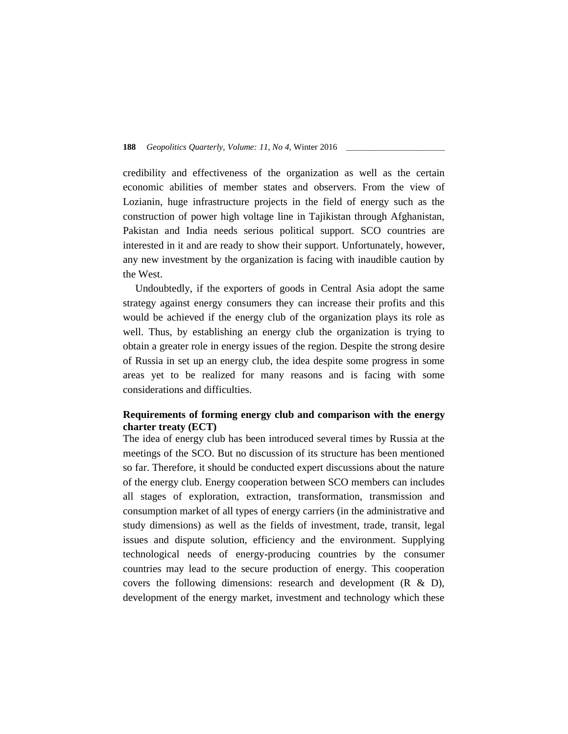credibility and effectiveness of the organization as well as the certain economic abilities of member states and observers. From the view of Lozianin, huge infrastructure projects in the field of energy such as the construction of power high voltage line in Tajikistan through Afghanistan, Pakistan and India needs serious political support. SCO countries are interested in it and are ready to show their support. Unfortunately, however, any new investment by the organization is facing with inaudible caution by the West.

Undoubtedly, if the exporters of goods in Central Asia adopt the same strategy against energy consumers they can increase their profits and this would be achieved if the energy club of the organization plays its role as well. Thus, by establishing an energy club the organization is trying to obtain a greater role in energy issues of the region. Despite the strong desire of Russia in set up an energy club, the idea despite some progress in some areas yet to be realized for many reasons and is facing with some considerations and difficulties.

# **Requirements of forming energy club and comparison with the energy charter treaty (ECT)**

The idea of energy club has been introduced several times by Russia at the meetings of the SCO. But no discussion of its structure has been mentioned so far. Therefore, it should be conducted expert discussions about the nature of the energy club. Energy cooperation between SCO members can includes all stages of exploration, extraction, transformation, transmission and consumption market of all types of energy carriers (in the administrative and study dimensions) as well as the fields of investment, trade, transit, legal issues and dispute solution, efficiency and the environment. Supplying technological needs of energy-producing countries by the consumer countries may lead to the secure production of energy. This cooperation covers the following dimensions: research and development  $(R \& D)$ , development of the energy market, investment and technology which these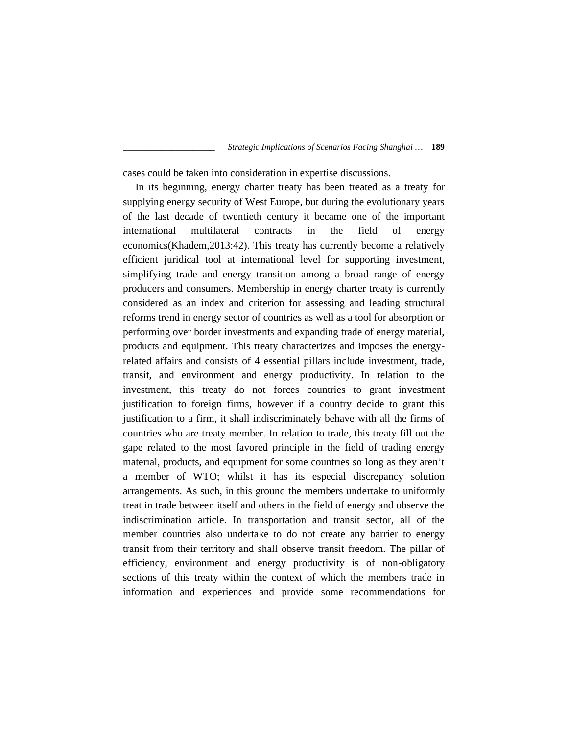cases could be taken into consideration in expertise discussions.

In its beginning, energy charter treaty has been treated as a treaty for supplying energy security of West Europe, but during the evolutionary years of the last decade of twentieth century it became one of the important international multilateral contracts in the field of energy economics(Khadem,2013:42). This treaty has currently become a relatively efficient juridical tool at international level for supporting investment, simplifying trade and energy transition among a broad range of energy producers and consumers. Membership in energy charter treaty is currently considered as an index and criterion for assessing and leading structural reforms trend in energy sector of countries as well as a tool for absorption or performing over border investments and expanding trade of energy material, products and equipment. This treaty characterizes and imposes the energyrelated affairs and consists of 4 essential pillars include investment, trade, transit, and environment and energy productivity. In relation to the investment, this treaty do not forces countries to grant investment justification to foreign firms, however if a country decide to grant this justification to a firm, it shall indiscriminately behave with all the firms of countries who are treaty member. In relation to trade, this treaty fill out the gape related to the most favored principle in the field of trading energy material, products, and equipment for some countries so long as they aren't a member of WTO; whilst it has its especial discrepancy solution arrangements. As such, in this ground the members undertake to uniformly treat in trade between itself and others in the field of energy and observe the indiscrimination article. In transportation and transit sector, all of the member countries also undertake to do not create any barrier to energy transit from their territory and shall observe transit freedom. The pillar of efficiency, environment and energy productivity is of non-obligatory sections of this treaty within the context of which the members trade in information and experiences and provide some recommendations for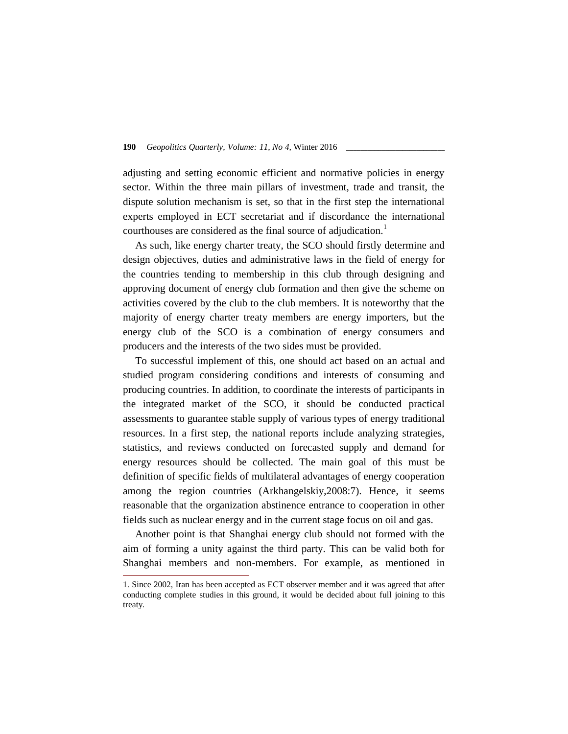adjusting and setting economic efficient and normative policies in energy sector. Within the three main pillars of investment, trade and transit, the dispute solution mechanism is set, so that in the first step the international experts employed in ECT secretariat and if discordance the international courthouses are considered as the final source of adjudication.<sup>1</sup>

As such, like energy charter treaty, the SCO should firstly determine and design objectives, duties and administrative laws in the field of energy for the countries tending to membership in this club through designing and approving document of energy club formation and then give the scheme on activities covered by the club to the club members. It is noteworthy that the majority of energy charter treaty members are energy importers, but the energy club of the SCO is a combination of energy consumers and producers and the interests of the two sides must be provided.

To successful implement of this, one should act based on an actual and studied program considering conditions and interests of consuming and producing countries. In addition, to coordinate the interests of participants in the integrated market of the SCO, it should be conducted practical assessments to guarantee stable supply of various types of energy traditional resources. In a first step, the national reports include analyzing strategies, statistics, and reviews conducted on forecasted supply and demand for energy resources should be collected. The main goal of this must be definition of specific fields of multilateral advantages of energy cooperation among the region countries (Arkhangelskiy,2008:7). Hence, it seems reasonable that the organization abstinence entrance to cooperation in other fields such as nuclear energy and in the current stage focus on oil and gas.

Another point is that Shanghai energy club should not formed with the aim of forming a unity against the third party. This can be valid both for Shanghai members and non-members. For example, as mentioned in

<sup>1.</sup> Since 2002, Iran has been accepted as ECT observer member and it was agreed that after conducting complete studies in this ground, it would be decided about full joining to this treaty.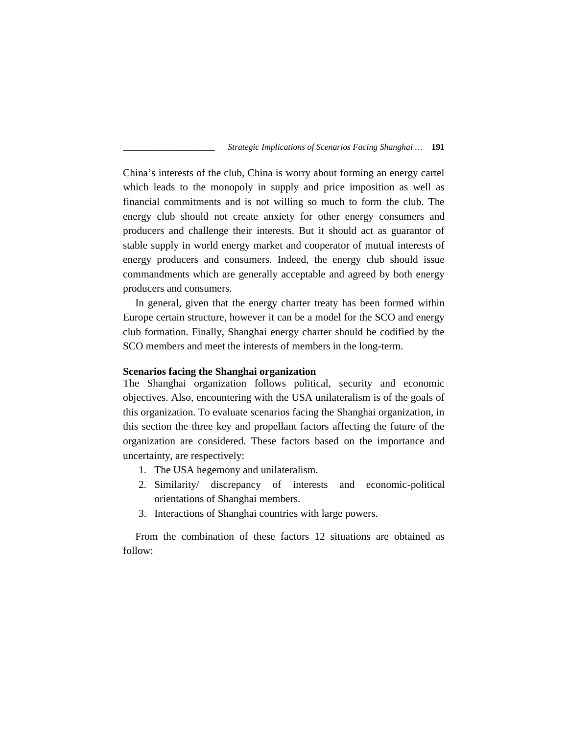China's interests of the club, China is worry about forming an energy cartel which leads to the monopoly in supply and price imposition as well as financial commitments and is not willing so much to form the club. The energy club should not create anxiety for other energy consumers and producers and challenge their interests. But it should act as guarantor of stable supply in world energy market and cooperator of mutual interests of energy producers and consumers. Indeed, the energy club should issue commandments which are generally acceptable and agreed by both energy producers and consumers.

In general, given that the energy charter treaty has been formed within Europe certain structure, however it can be a model for the SCO and energy club formation. Finally, Shanghai energy charter should be codified by the SCO members and meet the interests of members in the long-term.

## **Scenarios facing the Shanghai organization**

The Shanghai organization follows political, security and economic objectives. Also, encountering with the USA unilateralism is of the goals of this organization. To evaluate scenarios facing the Shanghai organization, in this section the three key and propellant factors affecting the future of the organization are considered. These factors based on the importance and uncertainty, are respectively:

- 1. The USA hegemony and unilateralism.
- 2. Similarity/ discrepancy of interests and economic-political orientations of Shanghai members.
- 3. Interactions of Shanghai countries with large powers.

From the combination of these factors 12 situations are obtained as follow: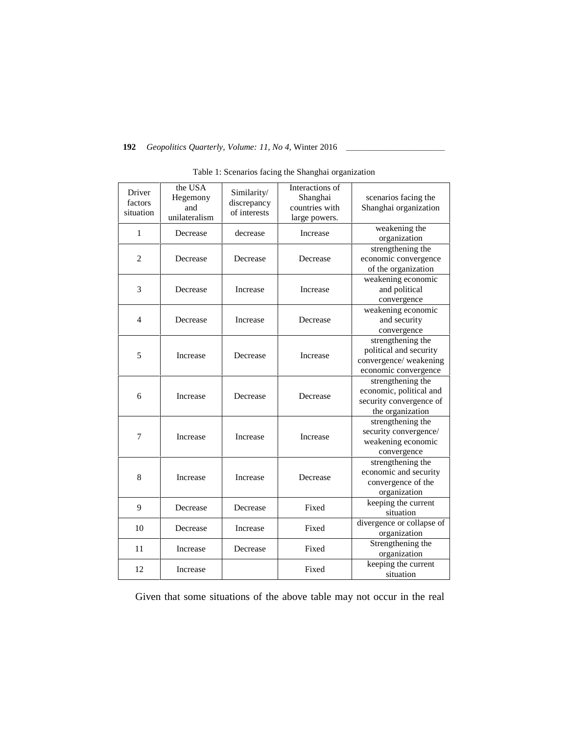| Driver<br>factors<br>situation | the USA<br>Hegemony<br>and<br>unilateralism | Similarity/<br>discrepancy<br>of interests | Interactions of<br>Shanghai<br>countries with<br>large powers. | scenarios facing the<br>Shanghai organization                                                |
|--------------------------------|---------------------------------------------|--------------------------------------------|----------------------------------------------------------------|----------------------------------------------------------------------------------------------|
| 1                              | Decrease                                    | decrease                                   | Increase                                                       | weakening the<br>organization                                                                |
| $\overline{2}$                 | Decrease                                    | Decrease                                   | Decrease                                                       | strengthening the<br>economic convergence<br>of the organization                             |
| 3                              | Decrease                                    | Increase                                   | Increase                                                       | weakening economic<br>and political<br>convergence                                           |
| $\overline{4}$                 | Decrease                                    | Increase                                   | Decrease                                                       | weakening economic<br>and security<br>convergence                                            |
| 5                              | Increase                                    | Decrease                                   | Increase                                                       | strengthening the<br>political and security<br>convergence/weakening<br>economic convergence |
| 6                              | Increase                                    | Decrease                                   | Decrease                                                       | strengthening the<br>economic, political and<br>security convergence of<br>the organization  |
| 7                              | Increase                                    | Increase                                   | Increase                                                       | strengthening the<br>security convergence/<br>weakening economic<br>convergence              |
| 8                              | Increase                                    | Increase                                   | Decrease                                                       | strengthening the<br>economic and security<br>convergence of the<br>organization             |
| 9                              | Decrease                                    | Decrease                                   | Fixed                                                          | keeping the current<br>situation                                                             |
| 10                             | Decrease                                    | Increase                                   | Fixed                                                          | divergence or collapse of<br>organization                                                    |
| 11                             | Increase                                    | Decrease                                   | Fixed                                                          | Strengthening the<br>organization                                                            |
| 12                             | Increase                                    |                                            | Fixed                                                          | keeping the current<br>situation                                                             |

|  |  |  | Table 1: Scenarios facing the Shanghai organization |  |
|--|--|--|-----------------------------------------------------|--|
|  |  |  |                                                     |  |

Given that some situations of the above table may not occur in the real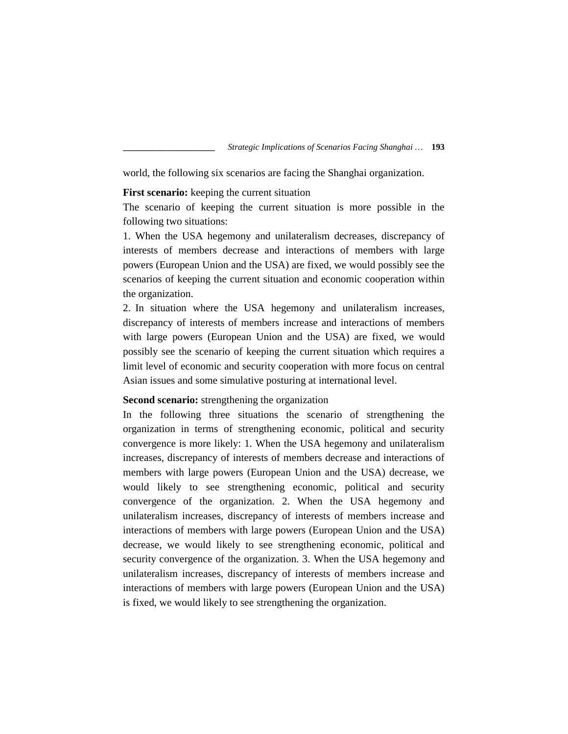world, the following six scenarios are facing the Shanghai organization.

## **First scenario:** keeping the current situation

The scenario of keeping the current situation is more possible in the following two situations:

1. When the USA hegemony and unilateralism decreases, discrepancy of interests of members decrease and interactions of members with large powers (European Union and the USA) are fixed, we would possibly see the scenarios of keeping the current situation and economic cooperation within the organization.

2. In situation where the USA hegemony and unilateralism increases, discrepancy of interests of members increase and interactions of members with large powers (European Union and the USA) are fixed, we would possibly see the scenario of keeping the current situation which requires a limit level of economic and security cooperation with more focus on central Asian issues and some simulative posturing at international level.

## **Second scenario:** strengthening the organization

In the following three situations the scenario of strengthening the organization in terms of strengthening economic, political and security convergence is more likely: 1. When the USA hegemony and unilateralism increases, discrepancy of interests of members decrease and interactions of members with large powers (European Union and the USA) decrease, we would likely to see strengthening economic, political and security convergence of the organization. 2. When the USA hegemony and unilateralism increases, discrepancy of interests of members increase and interactions of members with large powers (European Union and the USA) decrease, we would likely to see strengthening economic, political and security convergence of the organization. 3. When the USA hegemony and unilateralism increases, discrepancy of interests of members increase and interactions of members with large powers (European Union and the USA) is fixed, we would likely to see strengthening the organization.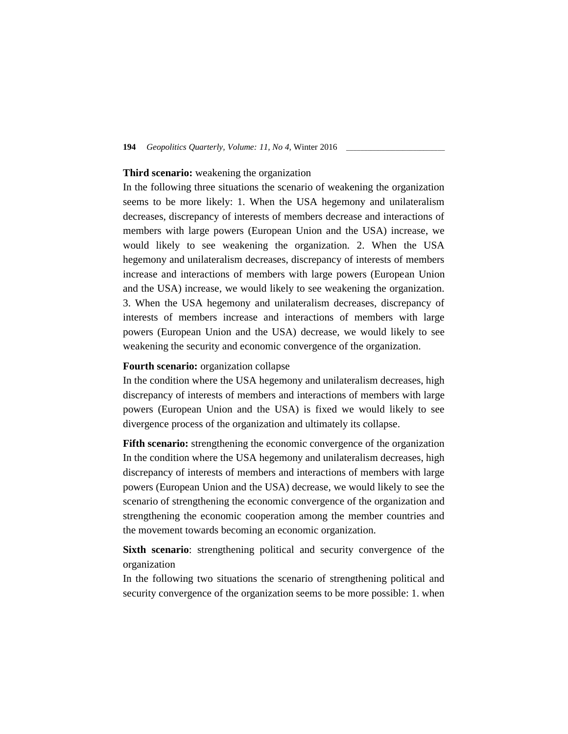### **Third scenario:** weakening the organization

In the following three situations the scenario of weakening the organization seems to be more likely: 1. When the USA hegemony and unilateralism decreases, discrepancy of interests of members decrease and interactions of members with large powers (European Union and the USA) increase, we would likely to see weakening the organization. 2. When the USA hegemony and unilateralism decreases, discrepancy of interests of members increase and interactions of members with large powers (European Union and the USA) increase, we would likely to see weakening the organization. 3. When the USA hegemony and unilateralism decreases, discrepancy of interests of members increase and interactions of members with large powers (European Union and the USA) decrease, we would likely to see weakening the security and economic convergence of the organization.

## **Fourth scenario:** organization collapse

In the condition where the USA hegemony and unilateralism decreases, high discrepancy of interests of members and interactions of members with large powers (European Union and the USA) is fixed we would likely to see divergence process of the organization and ultimately its collapse.

**Fifth scenario:** strengthening the economic convergence of the organization In the condition where the USA hegemony and unilateralism decreases, high discrepancy of interests of members and interactions of members with large powers (European Union and the USA) decrease, we would likely to see the scenario of strengthening the economic convergence of the organization and strengthening the economic cooperation among the member countries and the movement towards becoming an economic organization.

**Sixth scenario**: strengthening political and security convergence of the organization

In the following two situations the scenario of strengthening political and security convergence of the organization seems to be more possible: 1. when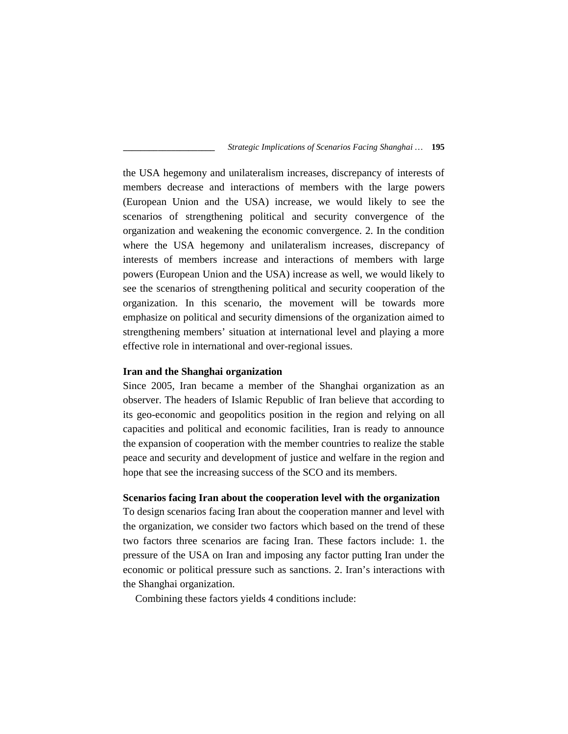the USA hegemony and unilateralism increases, discrepancy of interests of members decrease and interactions of members with the large powers (European Union and the USA) increase, we would likely to see the scenarios of strengthening political and security convergence of the organization and weakening the economic convergence. 2. In the condition where the USA hegemony and unilateralism increases, discrepancy of interests of members increase and interactions of members with large powers (European Union and the USA) increase as well, we would likely to see the scenarios of strengthening political and security cooperation of the organization. In this scenario, the movement will be towards more emphasize on political and security dimensions of the organization aimed to strengthening members' situation at international level and playing a more effective role in international and over-regional issues.

# **Iran and the Shanghai organization**

Since 2005, Iran became a member of the Shanghai organization as an observer. The headers of Islamic Republic of Iran believe that according to its geo-economic and geopolitics position in the region and relying on all capacities and political and economic facilities, Iran is ready to announce the expansion of cooperation with the member countries to realize the stable peace and security and development of justice and welfare in the region and hope that see the increasing success of the SCO and its members.

### **Scenarios facing Iran about the cooperation level with the organization**

To design scenarios facing Iran about the cooperation manner and level with the organization, we consider two factors which based on the trend of these two factors three scenarios are facing Iran. These factors include: 1. the pressure of the USA on Iran and imposing any factor putting Iran under the economic or political pressure such as sanctions. 2. Iran's interactions with the Shanghai organization.

Combining these factors yields 4 conditions include: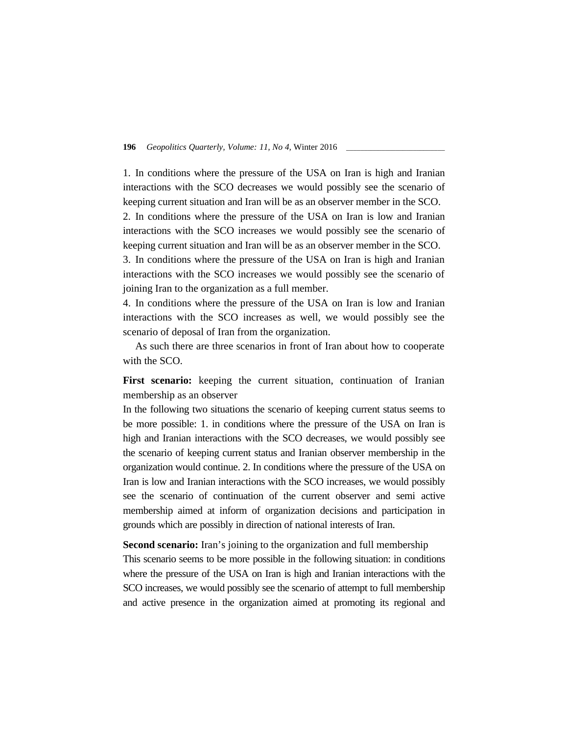1. In conditions where the pressure of the USA on Iran is high and Iranian interactions with the SCO decreases we would possibly see the scenario of keeping current situation and Iran will be as an observer member in the SCO.

2. In conditions where the pressure of the USA on Iran is low and Iranian interactions with the SCO increases we would possibly see the scenario of keeping current situation and Iran will be as an observer member in the SCO.

3. In conditions where the pressure of the USA on Iran is high and Iranian interactions with the SCO increases we would possibly see the scenario of joining Iran to the organization as a full member.

4. In conditions where the pressure of the USA on Iran is low and Iranian interactions with the SCO increases as well, we would possibly see the scenario of deposal of Iran from the organization.

As such there are three scenarios in front of Iran about how to cooperate with the SCO.

First scenario: keeping the current situation, continuation of Iranian membership as an observer

In the following two situations the scenario of keeping current status seems to be more possible: 1. in conditions where the pressure of the USA on Iran is high and Iranian interactions with the SCO decreases, we would possibly see the scenario of keeping current status and Iranian observer membership in the organization would continue. 2. In conditions where the pressure of the USA on Iran is low and Iranian interactions with the SCO increases, we would possibly see the scenario of continuation of the current observer and semi active membership aimed at inform of organization decisions and participation in grounds which are possibly in direction of national interests of Iran.

**Second scenario:** Iran's joining to the organization and full membership This scenario seems to be more possible in the following situation: in conditions where the pressure of the USA on Iran is high and Iranian interactions with the SCO increases, we would possibly see the scenario of attempt to full membership and active presence in the organization aimed at promoting its regional and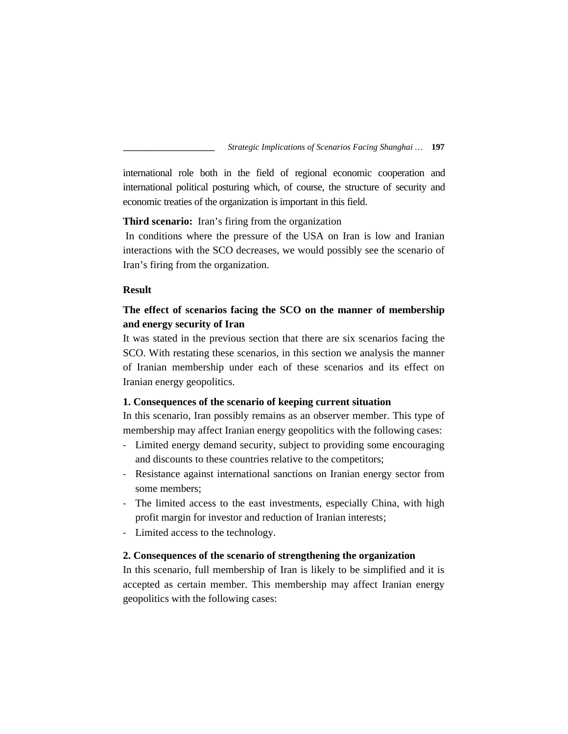international role both in the field of regional economic cooperation and international political posturing which, of course, the structure of security and economic treaties of the organization is important in this field.

**Third scenario:** Iran's firing from the organization

In conditions where the pressure of the USA on Iran is low and Iranian interactions with the SCO decreases, we would possibly see the scenario of Iran's firing from the organization.

## **Result**

# **The effect of scenarios facing the SCO on the manner of membership and energy security of Iran**

It was stated in the previous section that there are six scenarios facing the SCO. With restating these scenarios, in this section we analysis the manner of Iranian membership under each of these scenarios and its effect on Iranian energy geopolitics.

## **1. Consequences of the scenario of keeping current situation**

In this scenario, Iran possibly remains as an observer member. This type of membership may affect Iranian energy geopolitics with the following cases:

- Limited energy demand security, subject to providing some encouraging and discounts to these countries relative to the competitors;
- Resistance against international sanctions on Iranian energy sector from some members;
- The limited access to the east investments, especially China, with high profit margin for investor and reduction of Iranian interests;
- Limited access to the technology.

# **2. Consequences of the scenario of strengthening the organization**

In this scenario, full membership of Iran is likely to be simplified and it is accepted as certain member. This membership may affect Iranian energy geopolitics with the following cases: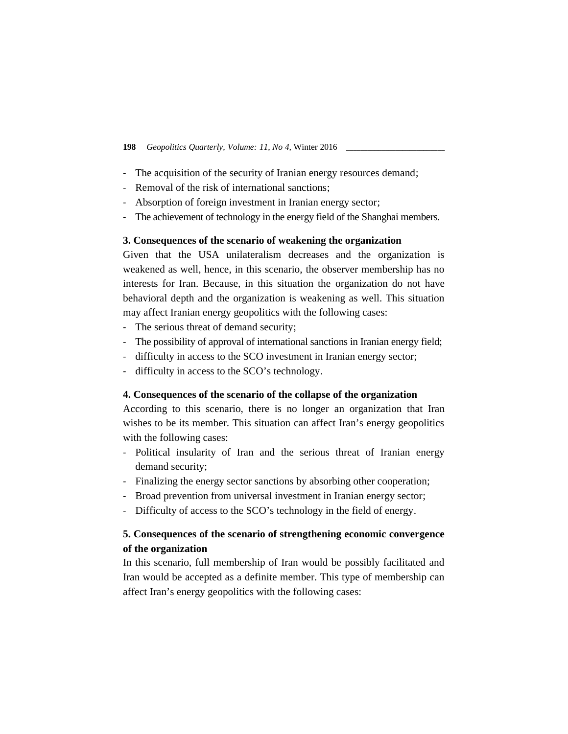- The acquisition of the security of Iranian energy resources demand;
- Removal of the risk of international sanctions;
- Absorption of foreign investment in Iranian energy sector;
- The achievement of technology in the energy field of the Shanghai members.

## **3. Consequences of the scenario of weakening the organization**

Given that the USA unilateralism decreases and the organization is weakened as well, hence, in this scenario, the observer membership has no interests for Iran. Because, in this situation the organization do not have behavioral depth and the organization is weakening as well. This situation may affect Iranian energy geopolitics with the following cases:

- The serious threat of demand security;
- The possibility of approval of international sanctions in Iranian energy field;
- difficulty in access to the SCO investment in Iranian energy sector;
- difficulty in access to the SCO's technology.

# **4. Consequences of the scenario of the collapse of the organization**

According to this scenario, there is no longer an organization that Iran wishes to be its member. This situation can affect Iran's energy geopolitics with the following cases:

- Political insularity of Iran and the serious threat of Iranian energy demand security;
- Finalizing the energy sector sanctions by absorbing other cooperation;
- Broad prevention from universal investment in Iranian energy sector;
- Difficulty of access to the SCO's technology in the field of energy.

# **5. Consequences of the scenario of strengthening economic convergence of the organization**

In this scenario, full membership of Iran would be possibly facilitated and Iran would be accepted as a definite member. This type of membership can affect Iran's energy geopolitics with the following cases: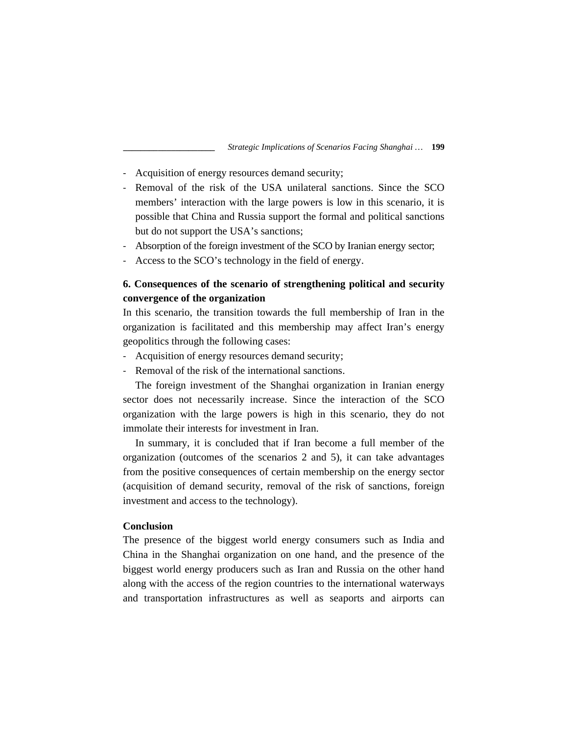- Acquisition of energy resources demand security;
- Removal of the risk of the USA unilateral sanctions. Since the SCO members' interaction with the large powers is low in this scenario, it is possible that China and Russia support the formal and political sanctions but do not support the USA's sanctions;
- Absorption of the foreign investment of the SCO by Iranian energy sector;
- Access to the SCO's technology in the field of energy.

# **6. Consequences of the scenario of strengthening political and security convergence of the organization**

In this scenario, the transition towards the full membership of Iran in the organization is facilitated and this membership may affect Iran's energy geopolitics through the following cases:

- Acquisition of energy resources demand security;
- Removal of the risk of the international sanctions.

The foreign investment of the Shanghai organization in Iranian energy sector does not necessarily increase. Since the interaction of the SCO organization with the large powers is high in this scenario, they do not immolate their interests for investment in Iran.

In summary, it is concluded that if Iran become a full member of the organization (outcomes of the scenarios 2 and 5), it can take advantages from the positive consequences of certain membership on the energy sector (acquisition of demand security, removal of the risk of sanctions, foreign investment and access to the technology).

## **Conclusion**

The presence of the biggest world energy consumers such as India and China in the Shanghai organization on one hand, and the presence of the biggest world energy producers such as Iran and Russia on the other hand along with the access of the region countries to the international waterways and transportation infrastructures as well as seaports and airports can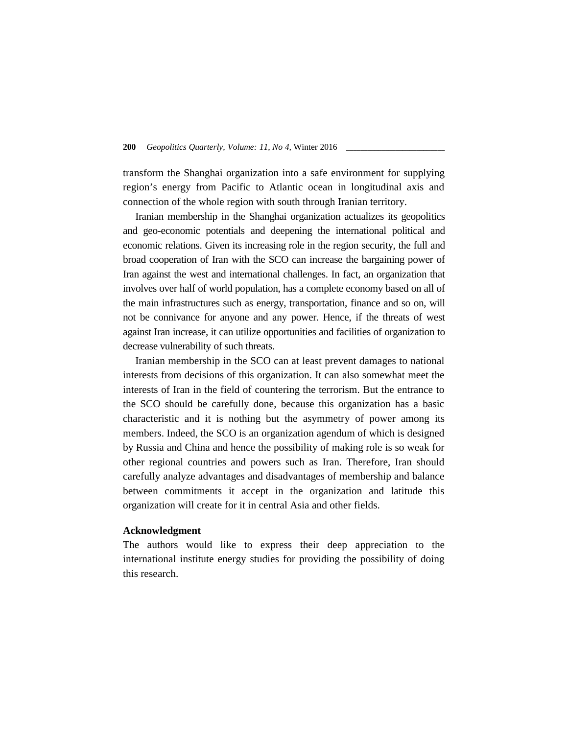transform the Shanghai organization into a safe environment for supplying region's energy from Pacific to Atlantic ocean in longitudinal axis and connection of the whole region with south through Iranian territory.

Iranian membership in the Shanghai organization actualizes its geopolitics and geo-economic potentials and deepening the international political and economic relations. Given its increasing role in the region security, the full and broad cooperation of Iran with the SCO can increase the bargaining power of Iran against the west and international challenges. In fact, an organization that involves over half of world population, has a complete economy based on all of the main infrastructures such as energy, transportation, finance and so on, will not be connivance for anyone and any power. Hence, if the threats of west against Iran increase, it can utilize opportunities and facilities of organization to decrease vulnerability of such threats.

Iranian membership in the SCO can at least prevent damages to national interests from decisions of this organization. It can also somewhat meet the interests of Iran in the field of countering the terrorism. But the entrance to the SCO should be carefully done, because this organization has a basic characteristic and it is nothing but the asymmetry of power among its members. Indeed, the SCO is an organization agendum of which is designed by Russia and China and hence the possibility of making role is so weak for other regional countries and powers such as Iran. Therefore, Iran should carefully analyze advantages and disadvantages of membership and balance between commitments it accept in the organization and latitude this organization will create for it in central Asia and other fields.

#### **Acknowledgment**

The authors would like to express their deep appreciation to the international institute energy studies for providing the possibility of doing this research.